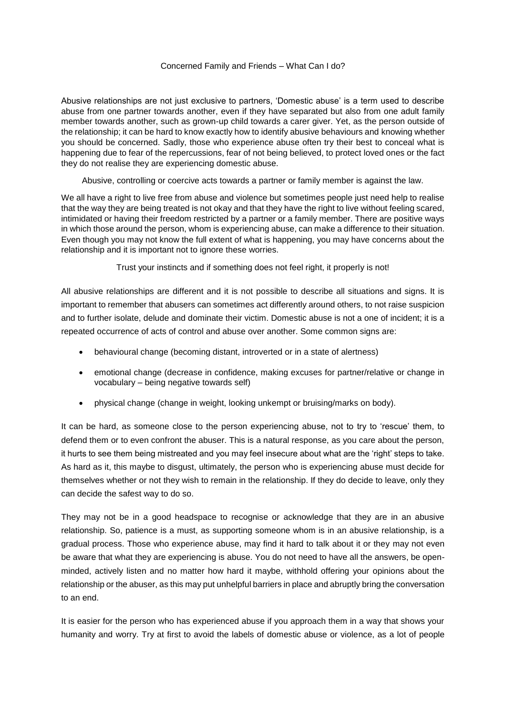## Concerned Family and Friends – What Can I do?

Abusive relationships are not just exclusive to partners, 'Domestic abuse' is a term used to describe abuse from one partner towards another, even if they have separated but also from one adult family member towards another, such as grown-up child towards a carer giver. Yet, as the person outside of the relationship; it can be hard to know exactly how to identify abusive behaviours and knowing whether you should be concerned. Sadly, those who experience abuse often try their best to conceal what is happening due to fear of the repercussions, fear of not being believed, to protect loved ones or the fact they do not realise they are experiencing domestic abuse.

Abusive, controlling or coercive acts towards a partner or family member is against the law.

We all have a right to live free from abuse and violence but sometimes people just need help to realise that the way they are being treated is not okay and that they have the right to live without feeling scared, intimidated or having their freedom restricted by a partner or a family member. There are positive ways in which those around the person, whom is experiencing abuse, can make a difference to their situation. Even though you may not know the full extent of what is happening, you may have concerns about the relationship and it is important not to ignore these worries.

Trust your instincts and if something does not feel right, it properly is not!

All abusive relationships are different and it is not possible to describe all situations and signs. It is important to remember that abusers can sometimes act differently around others, to not raise suspicion and to further isolate, delude and dominate their victim. Domestic abuse is not a one of incident; it is a repeated occurrence of acts of control and abuse over another. Some common signs are:

- behavioural change (becoming distant, introverted or in a state of alertness)
- emotional change (decrease in confidence, making excuses for partner/relative or change in vocabulary – being negative towards self)
- physical change (change in weight, looking unkempt or bruising/marks on body).

It can be hard, as someone close to the person experiencing abuse, not to try to 'rescue' them, to defend them or to even confront the abuser. This is a natural response, as you care about the person, it hurts to see them being mistreated and you may feel insecure about what are the 'right' steps to take. As hard as it, this maybe to disgust, ultimately, the person who is experiencing abuse must decide for themselves whether or not they wish to remain in the relationship. If they do decide to leave, only they can decide the safest way to do so.

They may not be in a good headspace to recognise or acknowledge that they are in an abusive relationship. So, patience is a must, as supporting someone whom is in an abusive relationship, is a gradual process. Those who experience abuse, may find it hard to talk about it or they may not even be aware that what they are experiencing is abuse. You do not need to have all the answers, be openminded, actively listen and no matter how hard it maybe, withhold offering your opinions about the relationship or the abuser, as this may put unhelpful barriers in place and abruptly bring the conversation to an end.

It is easier for the person who has experienced abuse if you approach them in a way that shows your humanity and worry. Try at first to avoid the labels of domestic abuse or violence, as a lot of people